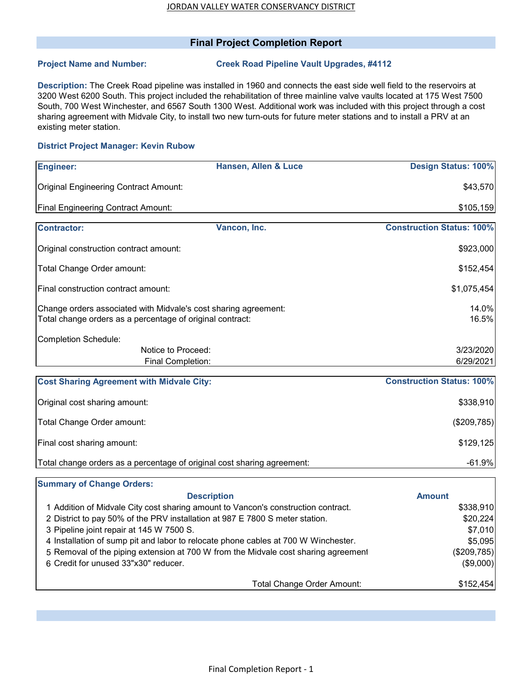## **Final Project Completion Report**

## **Project Name and Number:**

 **Creek Road Pipeline Vault Upgrades, #4112** 

**Description:** The Creek Road pipeline was installed in 1960 and connects the east side well field to the reservoirs at 3200 West 6200 South. This project included the rehabilitation of three mainline valve vaults located at 175 West 7500 South, 700 West Winchester, and 6567 South 1300 West. Additional work was included with this project through a cost sharing agreement with Midvale City, to install two new turn-outs for future meter stations and to install a PRV at an existing meter station.

## **District Project Manager: Kevin Rubow**

| <b>Engineer:</b>                                                                                                             | <b>Hansen, Allen &amp; Luce</b>                                                   | <b>Design Status: 100%</b>       |
|------------------------------------------------------------------------------------------------------------------------------|-----------------------------------------------------------------------------------|----------------------------------|
| Original Engineering Contract Amount:                                                                                        |                                                                                   | \$43,570                         |
| <b>Final Engineering Contract Amount:</b>                                                                                    |                                                                                   | \$105,159                        |
|                                                                                                                              |                                                                                   |                                  |
| <b>Contractor:</b>                                                                                                           | Vancon, Inc.                                                                      | <b>Construction Status: 100%</b> |
| Original construction contract amount:                                                                                       |                                                                                   | \$923,000                        |
| Total Change Order amount:                                                                                                   |                                                                                   | \$152,454                        |
| Final construction contract amount:                                                                                          |                                                                                   | \$1,075,454                      |
| Change orders associated with Midvale's cost sharing agreement:<br>Total change orders as a percentage of original contract: |                                                                                   | 14.0%                            |
|                                                                                                                              |                                                                                   | 16.5%                            |
| <b>Completion Schedule:</b>                                                                                                  |                                                                                   |                                  |
|                                                                                                                              | Notice to Proceed:                                                                | 3/23/2020                        |
|                                                                                                                              | Final Completion:                                                                 | 6/29/2021                        |
|                                                                                                                              |                                                                                   |                                  |
| <b>Cost Sharing Agreement with Midvale City:</b>                                                                             |                                                                                   | <b>Construction Status: 100%</b> |
| Original cost sharing amount:                                                                                                |                                                                                   | \$338,910                        |
| Total Change Order amount:                                                                                                   |                                                                                   | (\$209,785)                      |
| Final cost sharing amount:                                                                                                   |                                                                                   | \$129,125                        |
| Total change orders as a percentage of original cost sharing agreement:                                                      |                                                                                   | $-61.9%$                         |
| <b>Summary of Change Orders:</b>                                                                                             |                                                                                   |                                  |
|                                                                                                                              | <b>Description</b>                                                                | <b>Amount</b>                    |
|                                                                                                                              | 1 Addition of Midvale City cost sharing amount to Vancon's construction contract. | \$338,910                        |
| 2 District to pay 50% of the PRV installation at 987 E 7800 S meter station.                                                 |                                                                                   | \$20,224                         |
| 3 Pipeline joint repair at 145 W 7500 S.                                                                                     |                                                                                   | \$7,010                          |
| 4 Installation of sump pit and labor to relocate phone cables at 700 W Winchester.                                           |                                                                                   | \$5,095                          |
| 5 Removal of the piping extension at 700 W from the Midvale cost sharing agreement                                           |                                                                                   | (\$209,785)                      |
| 6 Credit for unused 33"x30" reducer.                                                                                         |                                                                                   | (\$9,000)                        |
|                                                                                                                              | Total Change Order Amount:                                                        | \$152,454                        |